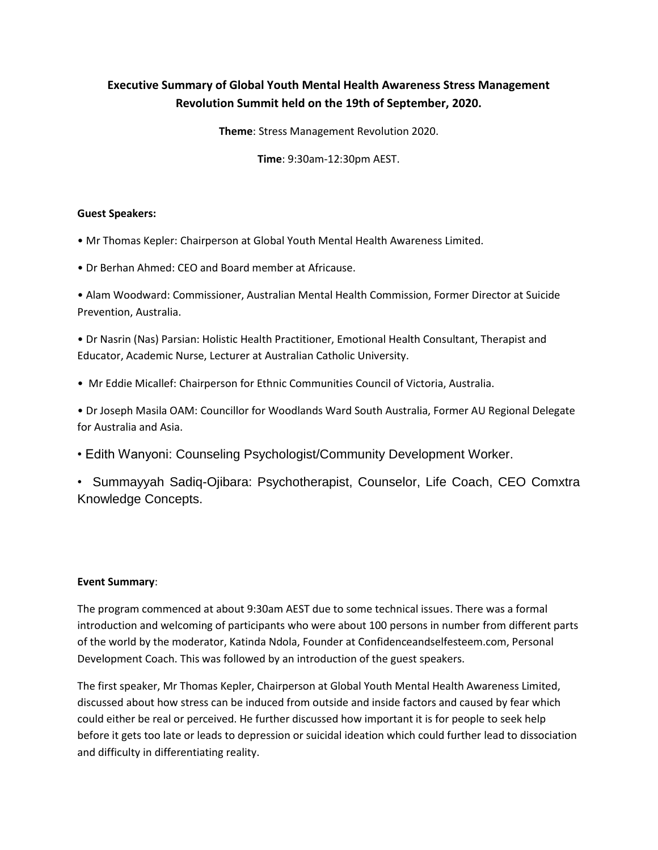# **Executive Summary of Global Youth Mental Health Awareness Stress Management Revolution Summit held on the 19th of September, 2020.**

**Theme**: Stress Management Revolution 2020.

**Time**: 9:30am-12:30pm AEST.

### **Guest Speakers:**

• Mr Thomas Kepler: Chairperson at Global Youth Mental Health Awareness Limited.

• Dr Berhan Ahmed: CEO and Board member at Africause.

• Alam Woodward: Commissioner, Australian Mental Health Commission, Former Director at Suicide Prevention, Australia.

• Dr Nasrin (Nas) Parsian: Holistic Health Practitioner, Emotional Health Consultant, Therapist and Educator, Academic Nurse, Lecturer at Australian Catholic University.

• Mr Eddie Micallef: Chairperson for Ethnic Communities Council of Victoria, Australia.

• Dr Joseph Masila OAM: Councillor for Woodlands Ward South Australia, Former AU Regional Delegate for Australia and Asia.

• Edith Wanyoni: Counseling Psychologist/Community Development Worker.

• Summayyah Sadiq-Ojibara: Psychotherapist, Counselor, Life Coach, CEO Comxtra Knowledge Concepts.

### **Event Summary**:

The program commenced at about 9:30am AEST due to some technical issues. There was a formal introduction and welcoming of participants who were about 100 persons in number from different parts of the world by the moderator, Katinda Ndola, Founder at Confidenceandselfesteem.com, Personal Development Coach. This was followed by an introduction of the guest speakers.

The first speaker, Mr Thomas Kepler, Chairperson at Global Youth Mental Health Awareness Limited, discussed about how stress can be induced from outside and inside factors and caused by fear which could either be real or perceived. He further discussed how important it is for people to seek help before it gets too late or leads to depression or suicidal ideation which could further lead to dissociation and difficulty in differentiating reality.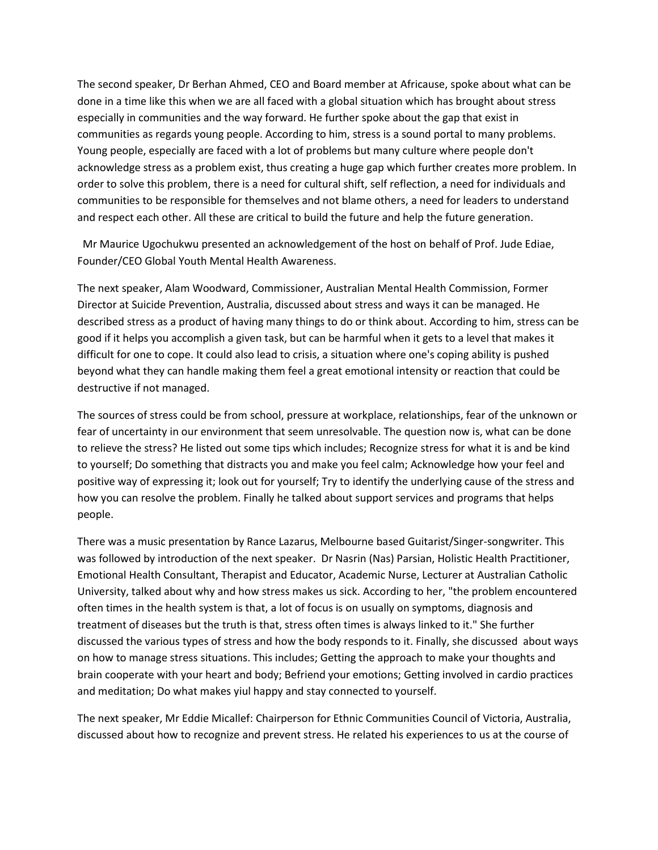The second speaker, Dr Berhan Ahmed, CEO and Board member at Africause, spoke about what can be done in a time like this when we are all faced with a global situation which has brought about stress especially in communities and the way forward. He further spoke about the gap that exist in communities as regards young people. According to him, stress is a sound portal to many problems. Young people, especially are faced with a lot of problems but many culture where people don't acknowledge stress as a problem exist, thus creating a huge gap which further creates more problem. In order to solve this problem, there is a need for cultural shift, self reflection, a need for individuals and communities to be responsible for themselves and not blame others, a need for leaders to understand and respect each other. All these are critical to build the future and help the future generation.

 Mr Maurice Ugochukwu presented an acknowledgement of the host on behalf of Prof. Jude Ediae, Founder/CEO Global Youth Mental Health Awareness.

The next speaker, Alam Woodward, Commissioner, Australian Mental Health Commission, Former Director at Suicide Prevention, Australia, discussed about stress and ways it can be managed. He described stress as a product of having many things to do or think about. According to him, stress can be good if it helps you accomplish a given task, but can be harmful when it gets to a level that makes it difficult for one to cope. It could also lead to crisis, a situation where one's coping ability is pushed beyond what they can handle making them feel a great emotional intensity or reaction that could be destructive if not managed.

The sources of stress could be from school, pressure at workplace, relationships, fear of the unknown or fear of uncertainty in our environment that seem unresolvable. The question now is, what can be done to relieve the stress? He listed out some tips which includes; Recognize stress for what it is and be kind to yourself; Do something that distracts you and make you feel calm; Acknowledge how your feel and positive way of expressing it; look out for yourself; Try to identify the underlying cause of the stress and how you can resolve the problem. Finally he talked about support services and programs that helps people.

There was a music presentation by Rance Lazarus, Melbourne based Guitarist/Singer-songwriter. This was followed by introduction of the next speaker. Dr Nasrin (Nas) Parsian, Holistic Health Practitioner, Emotional Health Consultant, Therapist and Educator, Academic Nurse, Lecturer at Australian Catholic University, talked about why and how stress makes us sick. According to her, "the problem encountered often times in the health system is that, a lot of focus is on usually on symptoms, diagnosis and treatment of diseases but the truth is that, stress often times is always linked to it." She further discussed the various types of stress and how the body responds to it. Finally, she discussed about ways on how to manage stress situations. This includes; Getting the approach to make your thoughts and brain cooperate with your heart and body; Befriend your emotions; Getting involved in cardio practices and meditation; Do what makes yiul happy and stay connected to yourself.

The next speaker, Mr Eddie Micallef: Chairperson for Ethnic Communities Council of Victoria, Australia, discussed about how to recognize and prevent stress. He related his experiences to us at the course of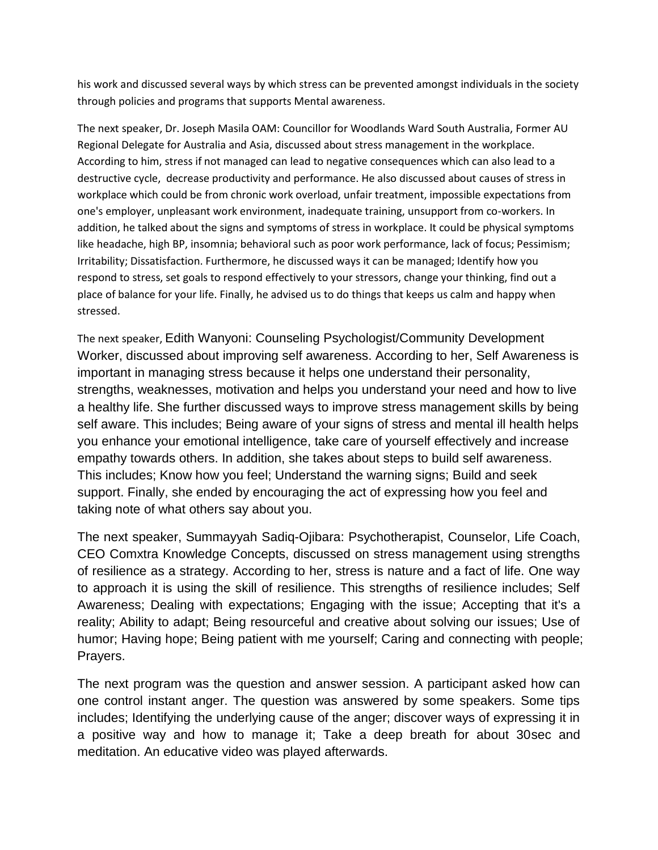his work and discussed several ways by which stress can be prevented amongst individuals in the society through policies and programs that supports Mental awareness.

The next speaker, Dr. Joseph Masila OAM: Councillor for Woodlands Ward South Australia, Former AU Regional Delegate for Australia and Asia, discussed about stress management in the workplace. According to him, stress if not managed can lead to negative consequences which can also lead to a destructive cycle, decrease productivity and performance. He also discussed about causes of stress in workplace which could be from chronic work overload, unfair treatment, impossible expectations from one's employer, unpleasant work environment, inadequate training, unsupport from co-workers. In addition, he talked about the signs and symptoms of stress in workplace. It could be physical symptoms like headache, high BP, insomnia; behavioral such as poor work performance, lack of focus; Pessimism; Irritability; Dissatisfaction. Furthermore, he discussed ways it can be managed; Identify how you respond to stress, set goals to respond effectively to your stressors, change your thinking, find out a place of balance for your life. Finally, he advised us to do things that keeps us calm and happy when stressed.

The next speaker, Edith Wanyoni: Counseling Psychologist/Community Development Worker, discussed about improving self awareness. According to her, Self Awareness is important in managing stress because it helps one understand their personality, strengths, weaknesses, motivation and helps you understand your need and how to live a healthy life. She further discussed ways to improve stress management skills by being self aware. This includes; Being aware of your signs of stress and mental ill health helps you enhance your emotional intelligence, take care of yourself effectively and increase empathy towards others. In addition, she takes about steps to build self awareness. This includes; Know how you feel; Understand the warning signs; Build and seek support. Finally, she ended by encouraging the act of expressing how you feel and taking note of what others say about you.

The next speaker, Summayyah Sadiq-Ojibara: Psychotherapist, Counselor, Life Coach, CEO Comxtra Knowledge Concepts, discussed on stress management using strengths of resilience as a strategy. According to her, stress is nature and a fact of life. One way to approach it is using the skill of resilience. This strengths of resilience includes; Self Awareness; Dealing with expectations; Engaging with the issue; Accepting that it's a reality; Ability to adapt; Being resourceful and creative about solving our issues; Use of humor; Having hope; Being patient with me yourself; Caring and connecting with people; Prayers.

The next program was the question and answer session. A participant asked how can one control instant anger. The question was answered by some speakers. Some tips includes; Identifying the underlying cause of the anger; discover ways of expressing it in a positive way and how to manage it; Take a deep breath for about 30sec and meditation. An educative video was played afterwards.